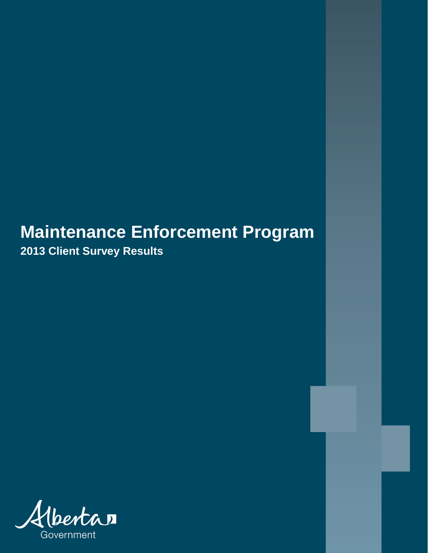## **Maintenance Enforcement Program**

**2013 Client Survey Results**

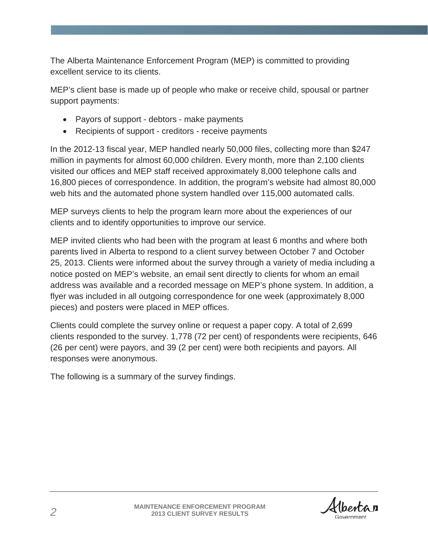The Alberta Maintenance Enforcement Program (MEP) is committed to providing excellent service to its clients.

MEP's client base is made up of people who make or receive child, spousal or partner support payments:

- Payors of support debtors make payments
- Recipients of support creditors receive payments

In the 2012-13 fiscal year, MEP handled nearly 50,000 files, collecting more than \$247 million in payments for almost 60,000 children. Every month, more than 2,100 clients visited our offices and MEP staff received approximately 8,000 telephone calls and 16,800 pieces of correspondence. In addition, the program's website had almost 80,000 web hits and the automated phone system handled over 115,000 automated calls.

MEP surveys clients to help the program learn more about the experiences of our clients and to identify opportunities to improve our service.

MEP invited clients who had been with the program at least 6 months and where both parents lived in Alberta to respond to a client survey between October 7 and October 25, 2013. Clients were informed about the survey through a variety of media including a notice posted on MEP's website, an email sent directly to clients for whom an email address was available and a recorded message on MEP's phone system. In addition, a flyer was included in all outgoing correspondence for one week (approximately 8,000 pieces) and posters were placed in MEP offices.

Clients could complete the survey online or request a paper copy. A total of 2,699 clients responded to the survey. 1,778 (72 per cent) of respondents were recipients, 646 (26 per cent) were payors, and 39 (2 per cent) were both recipients and payors. All responses were anonymous.

The following is a summary of the survey findings.

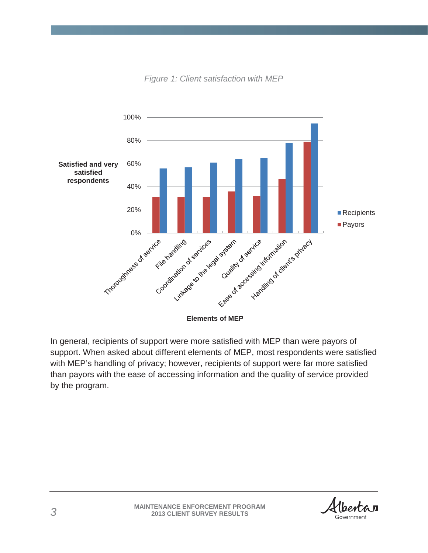

*Figure 1: Client satisfaction with MEP*

In general, recipients of support were more satisfied with MEP than were payors of support. When asked about different elements of MEP, most respondents were satisfied with MEP's handling of privacy; however, recipients of support were far more satisfied than payors with the ease of accessing information and the quality of service provided by the program.

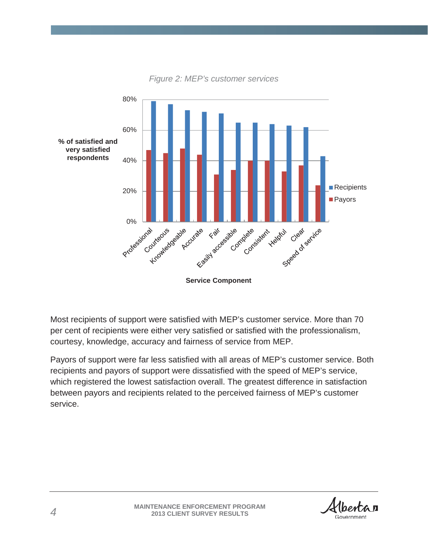

*Figure 2: MEP's customer services*

Most recipients of support were satisfied with MEP's customer service. More than 70 per cent of recipients were either very satisfied or satisfied with the professionalism, courtesy, knowledge, accuracy and fairness of service from MEP.

Payors of support were far less satisfied with all areas of MEP's customer service. Both recipients and payors of support were dissatisfied with the speed of MEP's service, which registered the lowest satisfaction overall. The greatest difference in satisfaction between payors and recipients related to the perceived fairness of MEP's customer service.

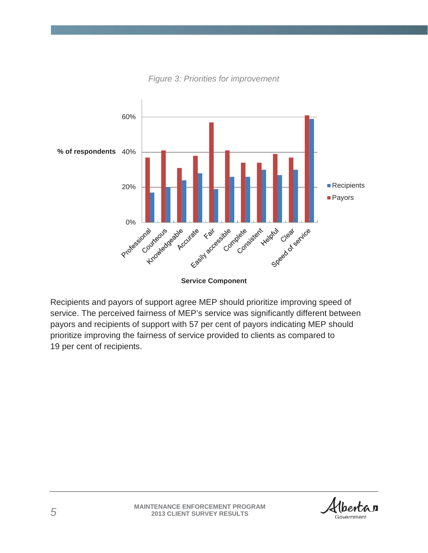

*Figure 3: Priorities for improvement* 

**Service Component**

Recipients and payors of support agree MEP should prioritize improving speed of service. The perceived fairness of MEP's service was significantly different between payors and recipients of support with 57 per cent of payors indicating MEP should prioritize improving the fairness of service provided to clients as compared to 19 per cent of recipients.

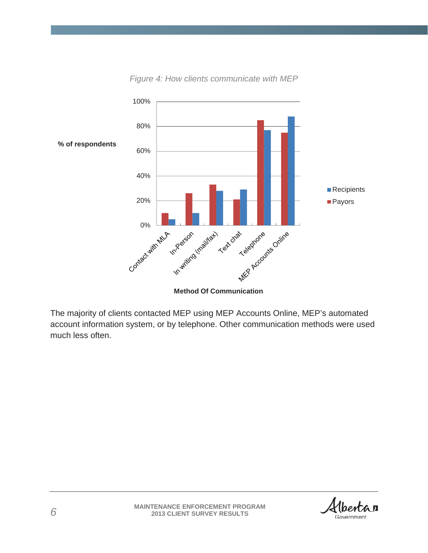

*Figure 4: How clients communicate with MEP*

The majority of clients contacted MEP using MEP Accounts Online, MEP's automated account information system, or by telephone. Other communication methods were used much less often.

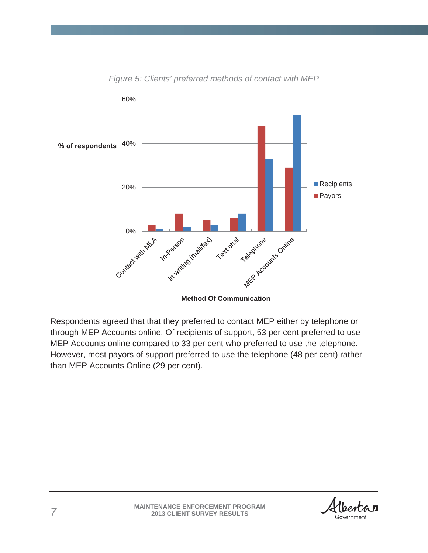

*Figure 5: Clients' preferred methods of contact with MEP*

**Method Of Communication**

Respondents agreed that that they preferred to contact MEP either by telephone or through MEP Accounts online. Of recipients of support, 53 per cent preferred to use MEP Accounts online compared to 33 per cent who preferred to use the telephone. However, most payors of support preferred to use the telephone (48 per cent) rather than MEP Accounts Online (29 per cent).

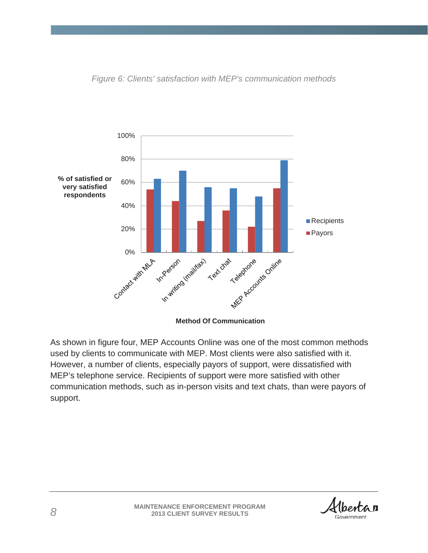

*Figure 6: Clients' satisfaction with MEP's communication methods*

As shown in figure four, MEP Accounts Online was one of the most common methods used by clients to communicate with MEP. Most clients were also satisfied with it. However, a number of clients, especially payors of support, were dissatisfied with MEP's telephone service. Recipients of support were more satisfied with other communication methods, such as in-person visits and text chats, than were payors of support.

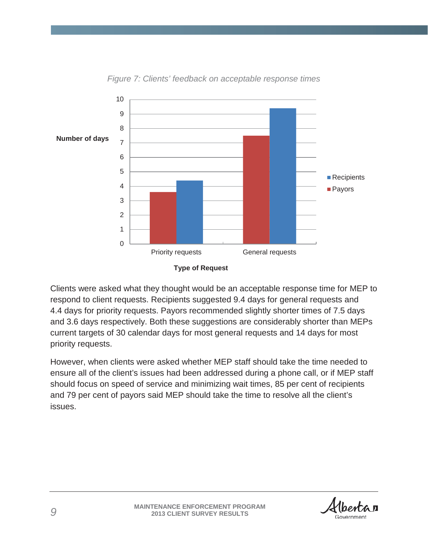

*Figure 7: Clients' feedback on acceptable response times*

Clients were asked what they thought would be an acceptable response time for MEP to respond to client requests. Recipients suggested 9.4 days for general requests and 4.4 days for priority requests. Payors recommended slightly shorter times of 7.5 days and 3.6 days respectively. Both these suggestions are considerably shorter than MEPs current targets of 30 calendar days for most general requests and 14 days for most priority requests.

However, when clients were asked whether MEP staff should take the time needed to ensure all of the client's issues had been addressed during a phone call, or if MEP staff should focus on speed of service and minimizing wait times, 85 per cent of recipients and 79 per cent of payors said MEP should take the time to resolve all the client's issues.

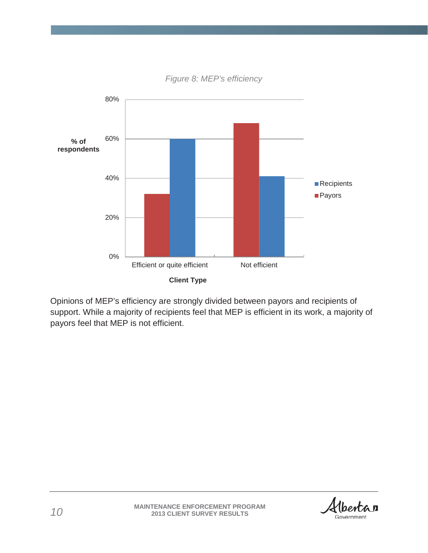

*Figure 8: MEP's efficiency*

Opinions of MEP's efficiency are strongly divided between payors and recipients of support. While a majority of recipients feel that MEP is efficient in its work, a majority of payors feel that MEP is not efficient.

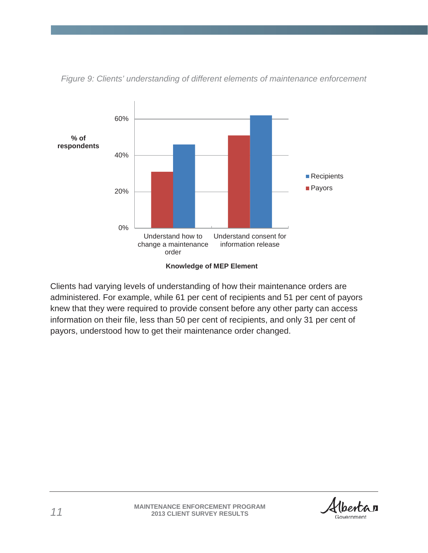

*Figure 9: Clients' understanding of different elements of maintenance enforcement*

Clients had varying levels of understanding of how their maintenance orders are administered. For example, while 61 per cent of recipients and 51 per cent of payors knew that they were required to provide consent before any other party can access information on their file, less than 50 per cent of recipients, and only 31 per cent of payors, understood how to get their maintenance order changed.